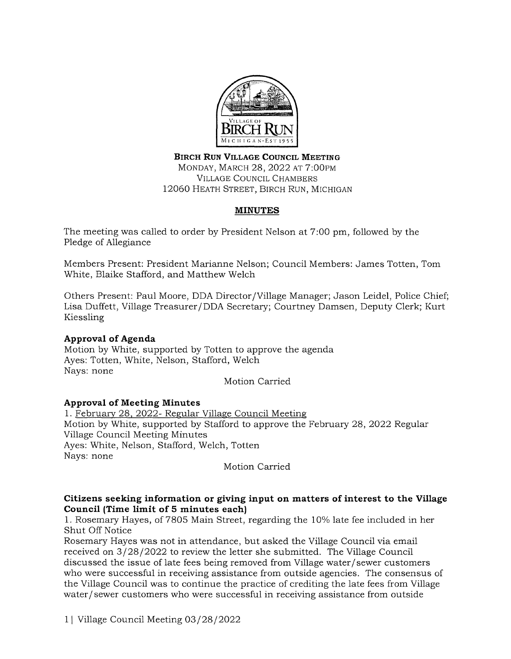

**BIRCH RUN VILLAGE COUNCIL MEETING**  MONDAY, MARCH 28, 2022 AT 7:00PM VILLAGE COUNCIL CHAMBERS 12060 HEATH STREET, BIRCH RUN, MICHIGAN

# **MINUTES**

The meeting was called to order by President Nelson at 7:00 pm, followed by the Pledge of Allegiance

Members Present: President Marianne Nelson; Council Members: James Totten, Tom White, Blaike Stafford, and Matthew Welch

Others Present: Paul Moore, DDA Director /Village Manager; Jason Leidel, Police Chief; Lisa Duffett, Village Treasurer/DDA Secretary; Courtney Damsen, Deputy Clerk; Kurt Kiessling

# **Approval of Agenda**

Motion by White, supported by Totten to approve the agenda Ayes: Totten, White, Nelson, Stafford, Welch Nays: none

Motion Carried

# **Approval of Meeting Minutes**

1. February 28, 2022- Regular Village Council Meeting Motion by White, supported by Stafford to approve the February 28, 2022 Regular Village Council Meeting Minutes Ayes: White, Nelson, Stafford, Welch, Totten Nays: none

Motion Carried

# **Citizens seeking information or giving input on matters of interest to the Village Council (Time limit of 5 minutes each)**

1. Rosemary Hayes, of 7805 Main Street, regarding the 10% late fee included in her Shut Off Notice

Rosemary Hayes was not in attendance, but asked the Village Council via email received on 3/28/2022 to review the letter she submitted. The Village Council discussed the issue of late fees being removed from Village water/ sewer customers who were successful in receiving assistance from outside agencies. The consensus of the Village Council was to continue the practice of crediting the late fees from Village water/ sewer customers who were successful in receiving assistance from outside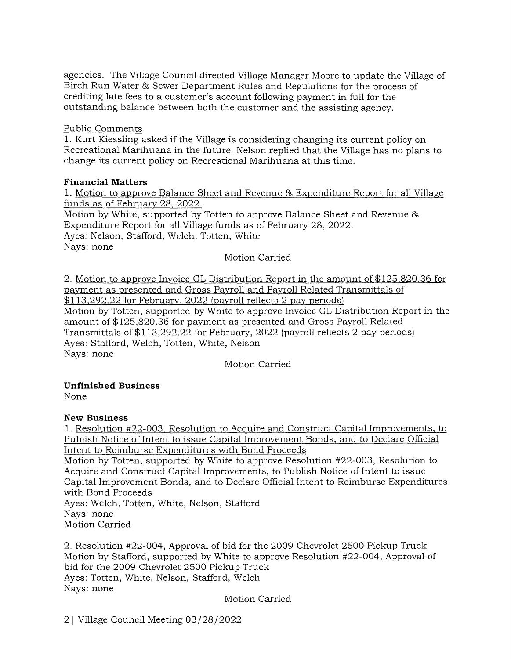agencies. The Village Council directed Village Manager Moore to update the Village of Birch Run Water & Sewer Department Rules and Regulations for the process of crediting late fees to a customer's account following payment in full for the outstanding balance between both the customer and the assisting agency.

### Public Comments

1. Kurt Kiessling asked if the Village is considering changing its current policy on Recreational Marihuana in the future. Nelson replied that the Village has no plans to change its current policy on Recreational Marihuana at this time.

### **Financial Matters**

1. Motion to approve Balance Sheet and Revenue & Expenditure Report for all Village funds as of February 28, 2022.

Motion by White, supported by Totten to approve Balance Sheet and Revenue & Expenditure Report for all Village funds as of February 28, 2022. Ayes: Nelson, Stafford, Welch, Totten, White Nays: none Motion Carried

2. Motion to approve Invoice GL Distribution Report in the amount of \$125,820.36 for payment as presented and Gross Payroll and Payroll Related Transmittals of \$113,292.22 for February, 2022 (payroll reflects 2 pay periods) Motion by Totten, supported by White to approve Invoice GL Distribution Report in the amount of \$125,820.36 for payment as presented and Gross Payroll Related Transmittals of \$113,292.22 for February, 2022 (payroll reflects 2 pay periods) Ayes: Stafford, Welch, Totten, White, Nelson Nays: none

Motion Carried

# **Unfinished Business**

None

# **New Business**

L Resolution #22-003, Resolution to Acquire and Construct Capital Improvements, to Publish Notice of Intent to issue Capital Improvement Bonds, and to Declare Official Intent to Reimburse Expenditures with Bond Proceeds

Motion by Totten, supported by White to approve Resolution #22-003, Resolution to Acquire and Construct Capital Improvements, to Publish Notice of Intent to issue Capital Improvement Bonds, and to Declare Official Intent to Reimburse Expenditures with Bond Proceeds

Ayes: Welch, Totten, White, Nelson, Stafford Nays: none Motion Carried

2. Resolution #22-004, Approval of bid for the 2009 Chevrolet 2500 Pickup Truck Motion by Stafford, supported by White to approve Resolution #22-004, Approval of bid for the 2009 Chevrolet 2500 Pickup Truck Ayes: Totten, White, Nelson, Stafford, Welch Nays: none

Motion Carried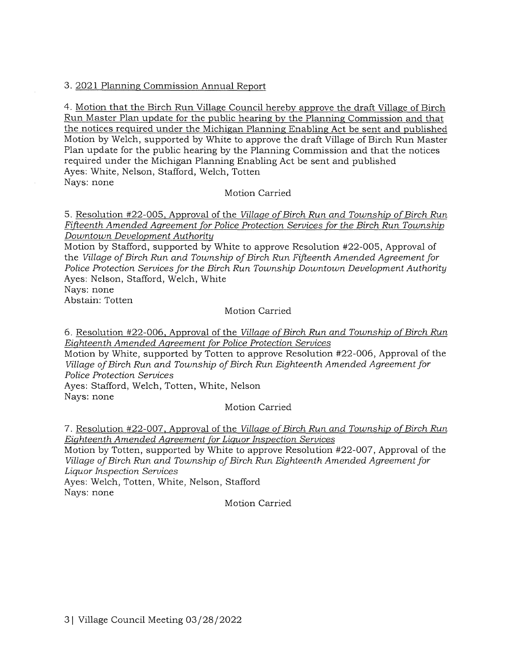# 3. 2021 Planning Commission Annual Report

4. Motion that the Birch Run Village Council hereby approve the draft Village of Birch Run Master Plan update for the public hearing by the Planning Commission and that the notices required under the Michigan Planning Enabling Act be sent and published Motion by Welch, supported by White to approve the draft Village of Birch Run Master Plan update for the public hearing by the Planning Commission and that the notices required under the Michigan Planning Enabling Act be sent and published Ayes: White, Nelson, Stafford, Welch, Totten Nays: none

# Motion Carried

5. Resolution #22-005, Approval of the *Village of Birch Run and Township of Birch Run Fifteenth Amended Agreement for Police Protection Services for the Birch Run Township Downtown Development Authority* 

Motion by Stafford, supported by White to approve Resolution #22-005, Approval of the *Village of Birch Run and Township of Birch Run Fifteenth Amended Agreement for Police Protection Services for the Birch Run Township Downtown Development Authority*  Ayes: Nelson, Stafford, Welch, White

Nays: none

Abstain: Totten

# Motion Carried

6. Resolution #22-006, Approval of the *Village of Birch Run and Township of Birch Run Eighteenth Amended Agreement for Police Protection Services* 

Motion by White, supported by Totten to approve Resolution #22-006, Approval of the *Village of Birch Run and Township of Birch Run Eighteenth Amended Agreement for Police Protection Services*  Ayes: Stafford, Welch, Totten, White, Nelson Nays: none

Motion Carried

7. Resolution #22-007, Approval of the *Village of Birch Run and Township of Birch Run Eighteenth Amended Agreement for Liquor Inspection Services* 

Motion by Totten, supported by White to approve Resolution #22-007, Approval of the *Village of Birch Run and Township of Birch Run Eighteenth Amended Agreement for Liquor Inspection Services* 

Ayes: Welch, Totten, White, Nelson, Stafford Nays: none

Motion Carried